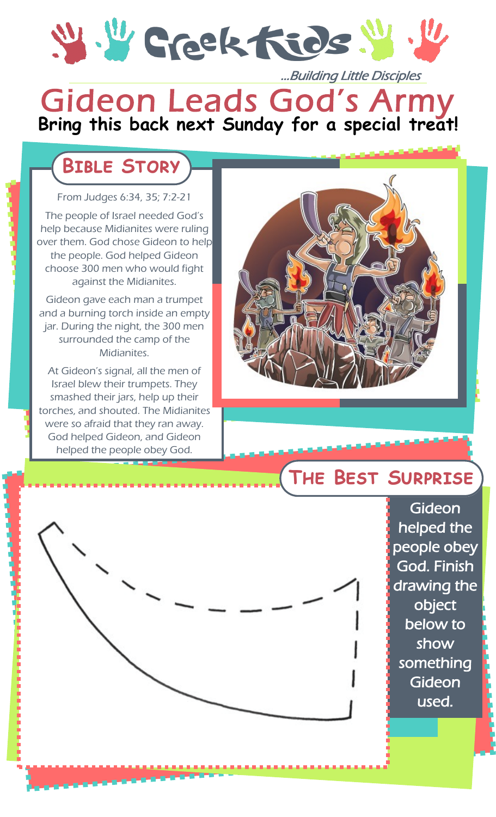

### **Bring this back next Sunday for a special treat!** Gideon Leads God's Army l ...Building Little Disciples

## **Bible Story**

#### From Judges 6:34, 35; 7:2-21

The people of Israel needed God's help because Midianites were ruling over them. God chose Gideon to help the people. God helped Gideon choose 300 men who would fight against the Midianites.

Gideon gave each man a trumpet and a burning torch inside an empty jar. During the night, the 300 men surrounded the camp of the Midianites.

At Gideon's signal, all the men of Israel blew their trumpets. They smashed their jars, help up their torches, and shouted. The Midianites were so afraid that they ran away. God helped Gideon, and Gideon helped the people obey God.



### **The Best Surprise**

Gideon helped the people obey God. Finish drawing the object below to show something **Gideon** used.